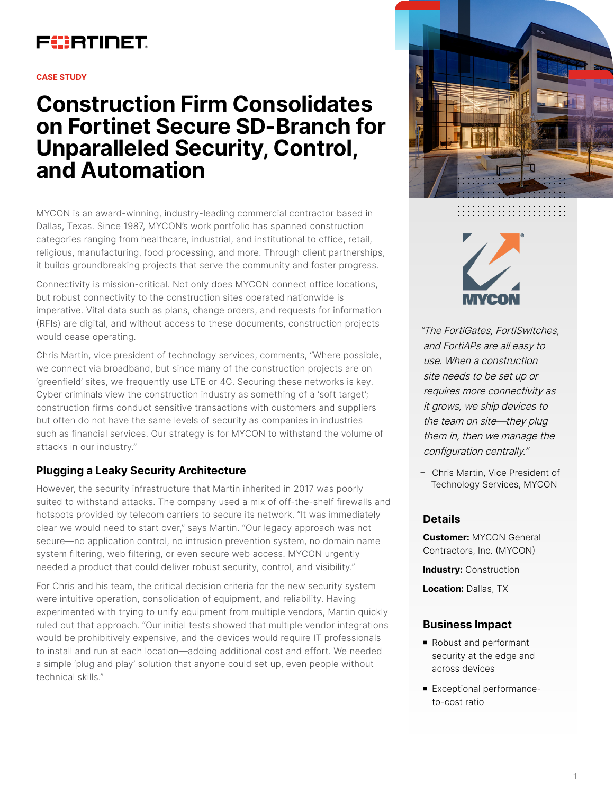# FURTINET

#### **CASE STUDY**

# **Construction Firm Consolidates on Fortinet Secure SD-Branch for Unparalleled Security, Control, and Automation**

MYCON is an award-winning, industry-leading commercial contractor based in Dallas, Texas. Since 1987, MYCON's work portfolio has spanned construction categories ranging from healthcare, industrial, and institutional to office, retail, religious, manufacturing, food processing, and more. Through client partnerships, it builds groundbreaking projects that serve the community and foster progress.

Connectivity is mission-critical. Not only does MYCON connect office locations, but robust connectivity to the construction sites operated nationwide is imperative. Vital data such as plans, change orders, and requests for information (RFIs) are digital, and without access to these documents, construction projects would cease operating.

Chris Martin, vice president of technology services, comments, "Where possible, we connect via broadband, but since many of the construction projects are on 'greenfield' sites, we frequently use LTE or 4G. Securing these networks is key. Cyber criminals view the construction industry as something of a 'soft target'; construction firms conduct sensitive transactions with customers and suppliers but often do not have the same levels of security as companies in industries such as financial services. Our strategy is for MYCON to withstand the volume of attacks in our industry."

# **Plugging a Leaky Security Architecture**

However, the security infrastructure that Martin inherited in 2017 was poorly suited to withstand attacks. The company used a mix of off-the-shelf firewalls and hotspots provided by telecom carriers to secure its network. "It was immediately clear we would need to start over," says Martin. "Our legacy approach was not secure—no application control, no intrusion prevention system, no domain name system filtering, web filtering, or even secure web access. MYCON urgently needed a product that could deliver robust security, control, and visibility."

For Chris and his team, the critical decision criteria for the new security system were intuitive operation, consolidation of equipment, and reliability. Having experimented with trying to unify equipment from multiple vendors, Martin quickly ruled out that approach. "Our initial tests showed that multiple vendor integrations would be prohibitively expensive, and the devices would require IT professionals to install and run at each location—adding additional cost and effort. We needed a simple 'plug and play' solution that anyone could set up, even people without technical skills."





"The FortiGates, FortiSwitches, and FortiAPs are all easy to use. When a construction site needs to be set up or requires more connectivity as it grows, we ship devices to the team on site—they plug them in, then we manage the configuration centrally."

– Chris Martin, Vice President of Technology Services, MYCON

#### **Details**

**Customer:** MYCON General Contractors, Inc. (MYCON)

**Industry:** Construction

**Location:** Dallas, TX

#### **Business Impact**

- Robust and performant security at the edge and across devices
- Exceptional performanceto-cost ratio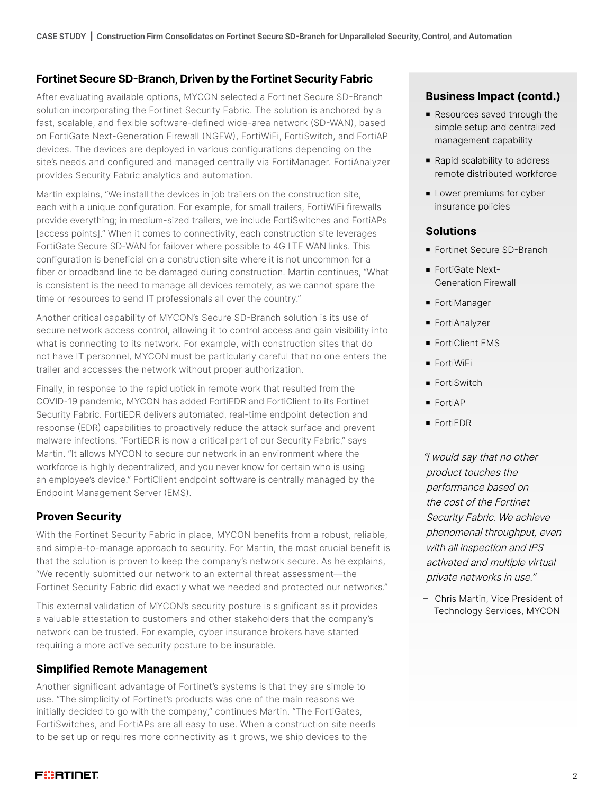### **Fortinet Secure SD-Branch, Driven by the Fortinet Security Fabric**

After evaluating available options, MYCON selected a Fortinet Secure SD-Branch solution incorporating the Fortinet Security Fabric. The solution is anchored by a fast, scalable, and flexible software-defined wide-area network (SD-WAN), based on FortiGate Next-Generation Firewall (NGFW), FortiWiFi, FortiSwitch, and FortiAP devices. The devices are deployed in various configurations depending on the site's needs and configured and managed centrally via FortiManager. FortiAnalyzer provides Security Fabric analytics and automation.

Martin explains, "We install the devices in job trailers on the construction site, each with a unique configuration. For example, for small trailers, FortiWiFi firewalls provide everything; in medium-sized trailers, we include FortiSwitches and FortiAPs [access points]." When it comes to connectivity, each construction site leverages FortiGate Secure SD-WAN for failover where possible to 4G LTE WAN links. This configuration is beneficial on a construction site where it is not uncommon for a fiber or broadband line to be damaged during construction. Martin continues, "What is consistent is the need to manage all devices remotely, as we cannot spare the time or resources to send IT professionals all over the country."

Another critical capability of MYCON's Secure SD-Branch solution is its use of secure network access control, allowing it to control access and gain visibility into what is connecting to its network. For example, with construction sites that do not have IT personnel, MYCON must be particularly careful that no one enters the trailer and accesses the network without proper authorization.

Finally, in response to the rapid uptick in remote work that resulted from the COVID-19 pandemic, MYCON has added FortiEDR and FortiClient to its Fortinet Security Fabric. FortiEDR delivers automated, real-time endpoint detection and response (EDR) capabilities to proactively reduce the attack surface and prevent malware infections. "FortiEDR is now a critical part of our Security Fabric," says Martin. "It allows MYCON to secure our network in an environment where the workforce is highly decentralized, and you never know for certain who is using an employee's device." FortiClient endpoint software is centrally managed by the Endpoint Management Server (EMS).

#### **Proven Security**

With the Fortinet Security Fabric in place, MYCON benefits from a robust, reliable, and simple-to-manage approach to security. For Martin, the most crucial benefit is that the solution is proven to keep the company's network secure. As he explains, "We recently submitted our network to an external threat assessment—the Fortinet Security Fabric did exactly what we needed and protected our networks."

This external validation of MYCON's security posture is significant as it provides a valuable attestation to customers and other stakeholders that the company's network can be trusted. For example, cyber insurance brokers have started requiring a more active security posture to be insurable.

#### **Simplified Remote Management**

Another significant advantage of Fortinet's systems is that they are simple to use. "The simplicity of Fortinet's products was one of the main reasons we initially decided to go with the company," continues Martin. "The FortiGates, FortiSwitches, and FortiAPs are all easy to use. When a construction site needs to be set up or requires more connectivity as it grows, we ship devices to the

### **Business Impact (contd.)**

- Resources saved through the simple setup and centralized management capability
- Rapid scalability to address remote distributed workforce
- **Lower premiums for cyber** insurance policies

#### **Solutions**

- Fortinet Secure SD-Branch
- FortiGate Next-Generation Firewall
- **FortiManager**
- FortiAnalyzer
- FortiClient EMS
- **FortiWiFi**
- **FortiSwitch**
- **FortiAP**
- **FortiEDR**

"I would say that no other product touches the performance based on the cost of the Fortinet Security Fabric. We achieve phenomenal throughput, even with all inspection and IPS activated and multiple virtual private networks in use."

– Chris Martin, Vice President of Technology Services, MYCON